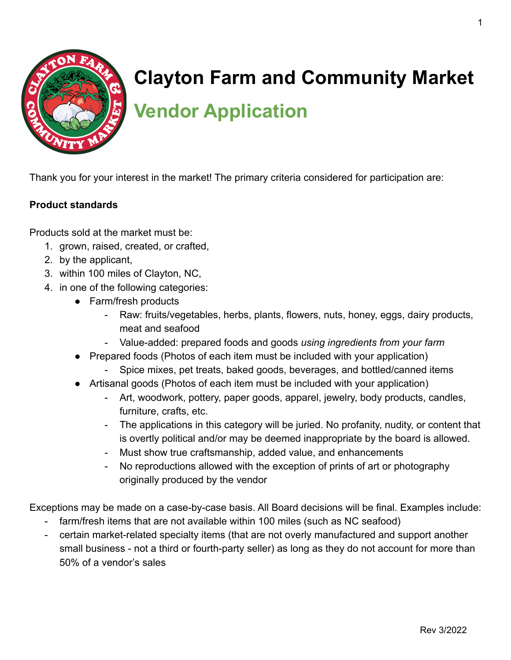

## **Clayton Farm and Community Market**

**Vendor Application**

Thank you for your interest in the market! The primary criteria considered for participation are:

## **Product standards**

Products sold at the market must be:

- 1. grown, raised, created, or crafted,
- 2. by the applicant,
- 3. within 100 miles of Clayton, NC,
- 4. in one of the following categories:
	- Farm/fresh products
		- Raw: fruits/vegetables, herbs, plants, flowers, nuts, honey, eggs, dairy products, meat and seafood
		- Value-added: prepared foods and goods *using ingredients from your farm*
	- Prepared foods (Photos of each item must be included with your application)
		- Spice mixes, pet treats, baked goods, beverages, and bottled/canned items
	- Artisanal goods (Photos of each item must be included with your application)
		- Art, woodwork, pottery, paper goods, apparel, jewelry, body products, candles, furniture, crafts, etc.
		- The applications in this category will be juried. No profanity, nudity, or content that is overtly political and/or may be deemed inappropriate by the board is allowed.
		- Must show true craftsmanship, added value, and enhancements
		- No reproductions allowed with the exception of prints of art or photography originally produced by the vendor

Exceptions may be made on a case-by-case basis. All Board decisions will be final. Examples include:

- farm/fresh items that are not available within 100 miles (such as NC seafood)
- certain market-related specialty items (that are not overly manufactured and support another small business - not a third or fourth-party seller) as long as they do not account for more than 50% of a vendor's sales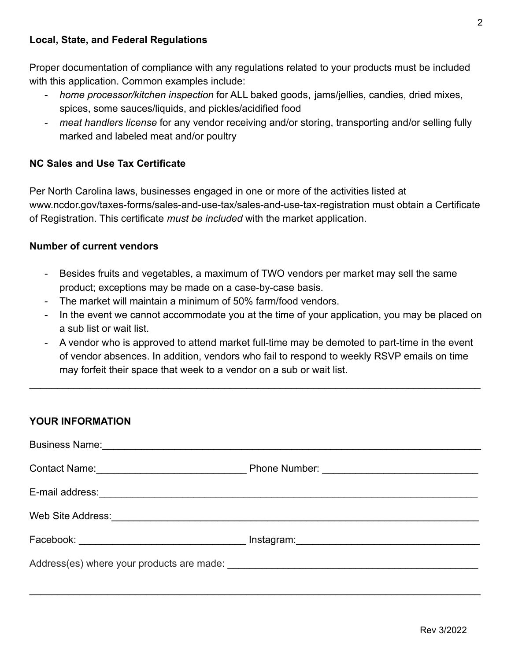## **Local, State, and Federal Regulations**

Proper documentation of compliance with any regulations related to your products must be included with this application. Common examples include:

- *home processor/kitchen inspection* for ALL baked goods, jams/jellies, candies, dried mixes, spices, some sauces/liquids, and pickles/acidified food
- *meat handlers license* for any vendor receiving and/or storing, transporting and/or selling fully marked and labeled meat and/or poultry

### **NC Sales and Use Tax Certificate**

Per North Carolina laws, businesses engaged in one or more of the activities listed at www.ncdor.gov/taxes-forms/sales-and-use-tax/sales-and-use-tax-registration must obtain a Certificate of Registration. This certificate *must be included* with the market application.

#### **Number of current vendors**

- Besides fruits and vegetables, a maximum of TWO vendors per market may sell the same product; exceptions may be made on a case-by-case basis.
- The market will maintain a minimum of 50% farm/food vendors.
- In the event we cannot accommodate you at the time of your application, you may be placed on a sub list or wait list.
- A vendor who is approved to attend market full-time may be demoted to part-time in the event of vendor absences. In addition, vendors who fail to respond to weekly RSVP emails on time may forfeit their space that week to a vendor on a sub or wait list.

 $\_$ 

| <b>YOUR INFORMATION</b> |                                                                                     |
|-------------------------|-------------------------------------------------------------------------------------|
|                         |                                                                                     |
|                         | Contact Name: Contact Name: Contact Name: Contact Name: Contact Name: Contact Name: |
|                         |                                                                                     |
|                         |                                                                                     |
|                         |                                                                                     |
|                         |                                                                                     |

\_\_\_\_\_\_\_\_\_\_\_\_\_\_\_\_\_\_\_\_\_\_\_\_\_\_\_\_\_\_\_\_\_\_\_\_\_\_\_\_\_\_\_\_\_\_\_\_\_\_\_\_\_\_\_\_\_\_\_\_\_\_\_\_\_\_\_\_\_\_\_\_\_\_\_\_\_\_\_\_\_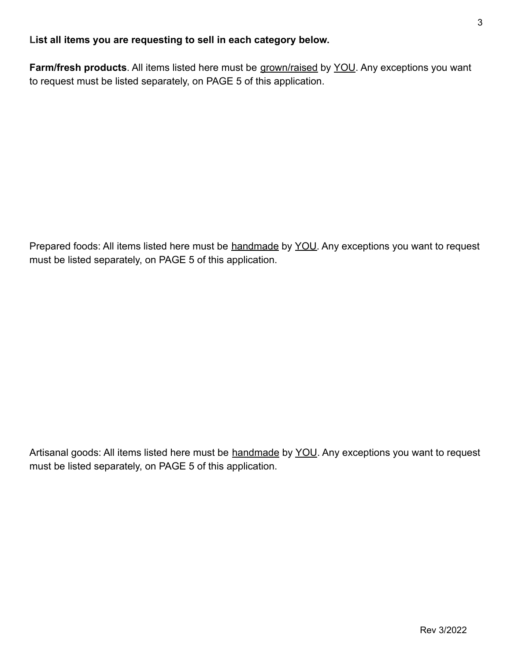## **List all items you are requesting to sell in each category below.**

**Farm/fresh products**. All items listed here must be grown/raised by YOU. Any exceptions you want to request must be listed separately, on PAGE 5 of this application.

Prepared foods: All items listed here must be handmade by YOU. Any exceptions you want to request must be listed separately, on PAGE 5 of this application.

Artisanal goods: All items listed here must be handmade by YOU. Any exceptions you want to request must be listed separately, on PAGE 5 of this application.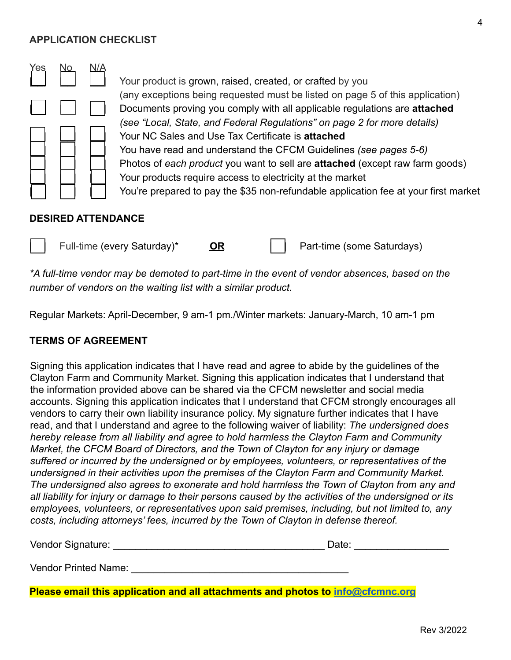#### **APPLICATION CHECKLIST**



#### **DESIRED ATTENDANCE**



*\*A full-time vendor may be demoted to part-time in the event of vendor absences, based on the number of vendors on the waiting list with a similar product.*

Regular Markets: April-December, 9 am-1 pm./Winter markets: January-March, 10 am-1 pm

#### **TERMS OF AGREEMENT**

Signing this application indicates that I have read and agree to abide by the guidelines of the Clayton Farm and Community Market. Signing this application indicates that I understand that the information provided above can be shared via the CFCM newsletter and social media accounts. Signing this application indicates that I understand that CFCM strongly encourages all vendors to carry their own liability insurance policy. My signature further indicates that I have read, and that I understand and agree to the following waiver of liability: *The undersigned does hereby release from all liability and agree to hold harmless the Clayton Farm and Community Market, the CFCM Board of Directors, and the Town of Clayton for any injury or damage suffered or incurred by the undersigned or by employees, volunteers, or representatives of the undersigned in their activities upon the premises of the Clayton Farm and Community Market. The undersigned also agrees to exonerate and hold harmless the Town of Clayton from any and all liability for injury or damage to their persons caused by the activities of the undersigned or its employees, volunteers, or representatives upon said premises, including, but not limited to, any costs, including attorneys' fees, incurred by the Town of Clayton in defense thereof.*

Vendor Signature: \_\_\_\_\_\_\_\_\_\_\_\_\_\_\_\_\_\_\_\_\_\_\_\_\_\_\_\_\_\_\_\_\_\_\_\_\_\_ Date: \_\_\_\_\_\_\_\_\_\_\_\_\_\_\_\_\_

Vendor Printed Name:

**Please email this application and all attachments and photos to [info@cfcmnc.org](mailto:info@cfcmnc.org)**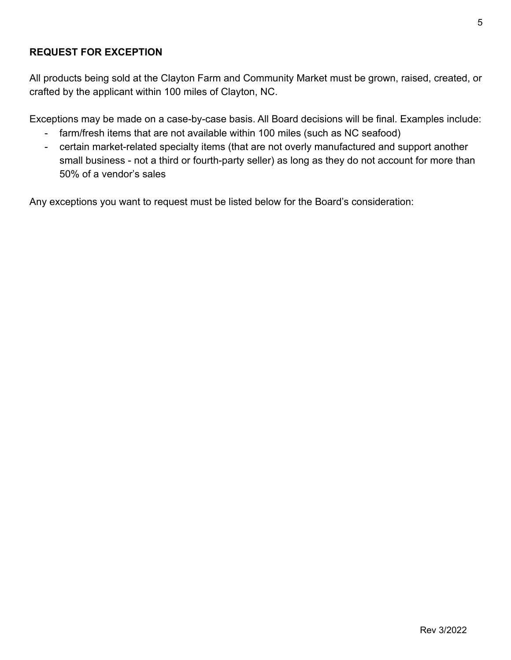## **REQUEST FOR EXCEPTION**

All products being sold at the Clayton Farm and Community Market must be grown, raised, created, or crafted by the applicant within 100 miles of Clayton, NC.

Exceptions may be made on a case-by-case basis. All Board decisions will be final. Examples include:

- farm/fresh items that are not available within 100 miles (such as NC seafood)
- certain market-related specialty items (that are not overly manufactured and support another small business - not a third or fourth-party seller) as long as they do not account for more than 50% of a vendor's sales

Any exceptions you want to request must be listed below for the Board's consideration: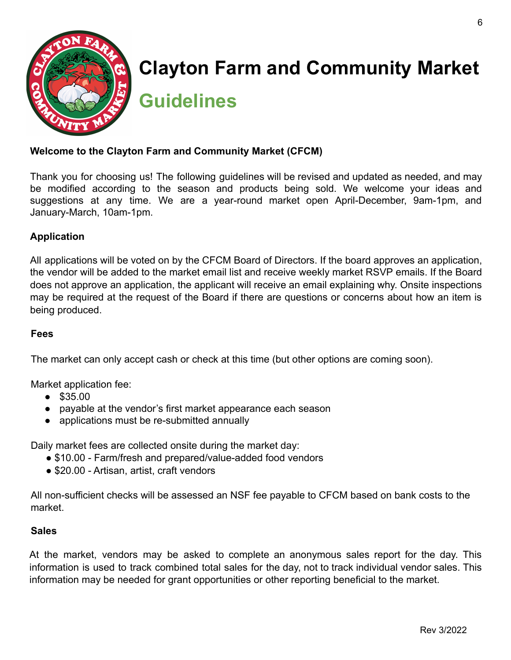

# **Clayton Farm and Community Market**

**Guidelines**

### **Welcome to the Clayton Farm and Community Market (CFCM)**

Thank you for choosing us! The following guidelines will be revised and updated as needed, and may be modified according to the season and products being sold. We welcome your ideas and suggestions at any time. We are a year-round market open April-December, 9am-1pm, and January-March, 10am-1pm.

## **Application**

All applications will be voted on by the CFCM Board of Directors. If the board approves an application, the vendor will be added to the market email list and receive weekly market RSVP emails. If the Board does not approve an application, the applicant will receive an email explaining why. Onsite inspections may be required at the request of the Board if there are questions or concerns about how an item is being produced.

#### **Fees**

The market can only accept cash or check at this time (but other options are coming soon).

Market application fee:

- \$35.00
- payable at the vendor's first market appearance each season
- applications must be re-submitted annually

Daily market fees are collected onsite during the market day:

- \$10.00 Farm/fresh and prepared/value-added food vendors
- \$20.00 Artisan, artist, craft vendors

All non-sufficient checks will be assessed an NSF fee payable to CFCM based on bank costs to the market.

#### **Sales**

At the market, vendors may be asked to complete an anonymous sales report for the day. This information is used to track combined total sales for the day, not to track individual vendor sales. This information may be needed for grant opportunities or other reporting beneficial to the market.